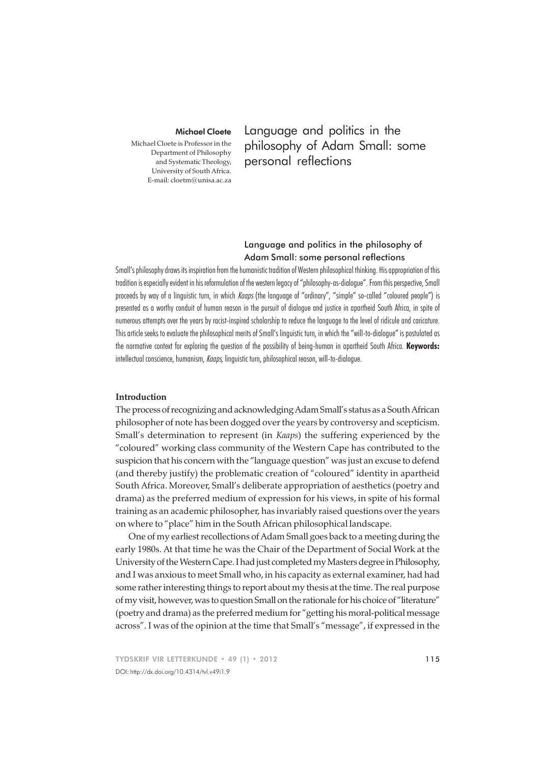### Michael Cloete

Michael Cloete is Professor in the Department of Philosophy and Systematic Theology, University of South Africa. E-mail: cloetm@unisa.ac.za

Language and politics in the philosophy of Adam Small: some personal reflections

# Language and politics in the philosophy of Adam Small: some personal reflections

Small's philosophy draws its inspiration from the humanistic tradition of Western philosophical thinking. His appropriation of this tradition is especially evident in his reformulation of the western legacy of "philosophy-as-dialogue". From this perspective, Small proceeds by way of a linguistic turn, in which Kaaps (the language of "ordinary", "simple" so-called "coloured people") is presented as a worthy conduit of human reason in the pursuit of dialogue and justice in apartheid South Africa, in spite of numerous attempts over the years by racist-inspired scholarship to reduce the language to the level of ridicule and caricature. This article seeks to evaluate the philosophical merits of Small's linguistic turn, in which the "will-to-dialogue" is postulated as the normative context for exploring the question of the possibility of being-human in apartheid South Africa. **Keywords:** intellectual conscience, humanism, Kaaps, linguistic turn, philosophical reason, will-to-dialogue.

### **Introduction**

The process of recognizing and acknowledging Adam Small's status as a South African philosopher of note has been dogged over the years by controversy and scepticism. Small's determination to represent (in *Kaaps*) the suffering experienced by the "coloured" working class community of the Western Cape has contributed to the suspicion that his concern with the "language question" was just an excuse to defend (and thereby justify) the problematic creation of "coloured" identity in apartheid South Africa. Moreover, Small's deliberate appropriation of aesthetics (poetry and drama) as the preferred medium of expression for his views, in spite of his formal training as an academic philosopher, has invariably raised questions over the years on where to "place" him in the South African philosophical landscape.

One of my earliest recollections of Adam Small goes back to a meeting during the early 1980s. At that time he was the Chair of the Department of Social Work at the University of the Western Cape. I had just completed my Masters degree in Philosophy, and I was anxious to meet Small who, in his capacity as external examiner, had had some rather interesting things to report about my thesis at the time. The real purpose of my visit, however, was to question Small on the rationale for his choice of "literature" (poetry and drama) as the preferred medium for "getting his moral-political message across". I was of the opinion at the time that Small's "message", if expressed in the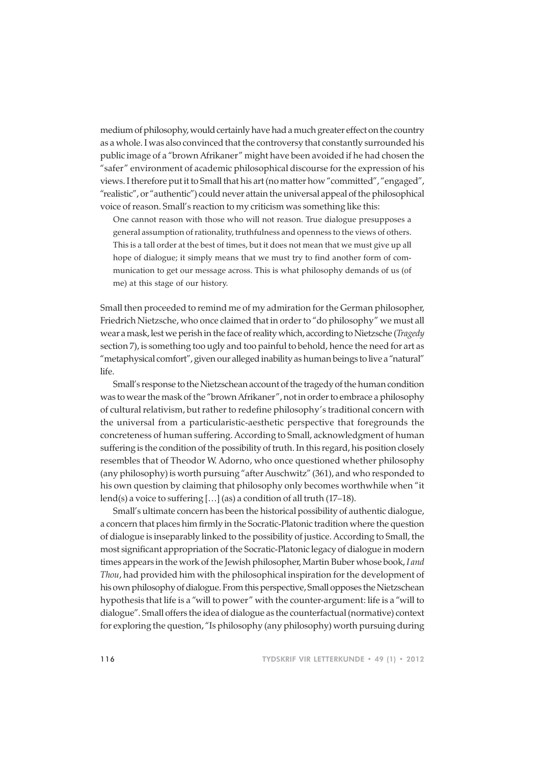medium of philosophy, would certainly have had a much greater effect on the country as a whole. I was also convinced that the controversy that constantly surrounded his public image of a "brown Afrikaner" might have been avoided if he had chosen the "safer" environment of academic philosophical discourse for the expression of his views. I therefore put it to Small that his art (no matter how "committed", "engaged", "realistic", or "authentic") could never attain the universal appeal of the philosophical voice of reason. Small's reaction to my criticism was something like this:

One cannot reason with those who will not reason. True dialogue presupposes a general assumption of rationality, truthfulness and openness to the views of others. This is a tall order at the best of times, but it does not mean that we must give up all hope of dialogue; it simply means that we must try to find another form of communication to get our message across. This is what philosophy demands of us (of me) at this stage of our history.

Small then proceeded to remind me of my admiration for the German philosopher, Friedrich Nietzsche, who once claimed that in order to "do philosophy" we must all wear a mask, lest we perish in the face of reality which, according to Nietzsche (*Tragedy* section 7), is something too ugly and too painful to behold, hence the need for art as "metaphysical comfort", given our alleged inability as human beings to live a "natural" life.

Small's response to the Nietzschean account of the tragedy of the human condition was to wear the mask of the "brown Afrikaner", not in order to embrace a philosophy of cultural relativism, but rather to redefine philosophy's traditional concern with the universal from a particularistic-aesthetic perspective that foregrounds the concreteness of human suffering. According to Small, acknowledgment of human suffering is the condition of the possibility of truth. In this regard, his position closely resembles that of Theodor W. Adorno, who once questioned whether philosophy (any philosophy) is worth pursuing "after Auschwitz" (361), and who responded to his own question by claiming that philosophy only becomes worthwhile when "it lend(s) a voice to suffering [...] (as) a condition of all truth (17-18).

Small's ultimate concern has been the historical possibility of authentic dialogue, a concern that places him firmly in the Socratic-Platonic tradition where the question of dialogue is inseparably linked to the possibility of justice. According to Small, the most significant appropriation of the Socratic-Platonic legacy of dialogue in modern times appears in the work of the Jewish philosopher, Martin Buber whose book, *I and Thou*, had provided him with the philosophical inspiration for the development of his own philosophy of dialogue. From this perspective, Small opposes the Nietzschean hypothesis that life is a "will to power" with the counter-argument: life is a "will to dialogue". Small offers the idea of dialogue as the counterfactual (normative) context for exploring the question, "Is philosophy (any philosophy) worth pursuing during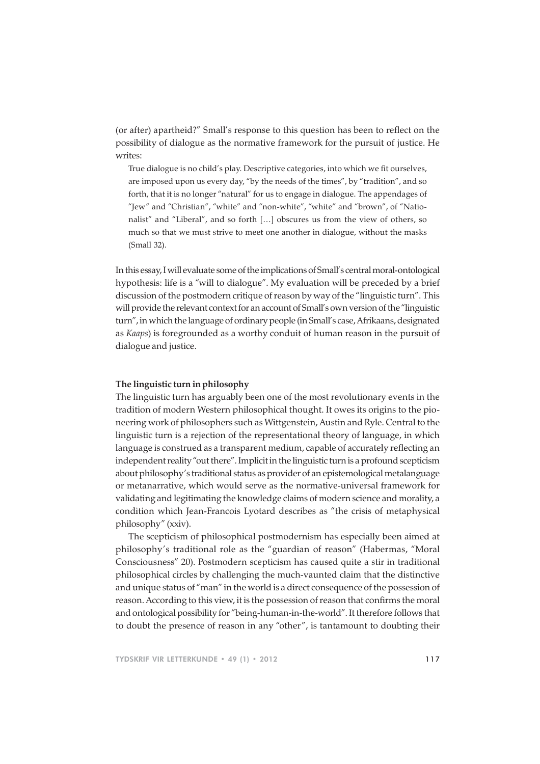(or after) apartheid?" Small's response to this question has been to reflect on the possibility of dialogue as the normative framework for the pursuit of justice. He writes:

True dialogue is no child's play. Descriptive categories, into which we fit ourselves, are imposed upon us every day, "by the needs of the times", by "tradition", and so forth, that it is no longer "natural" for us to engage in dialogue. The appendages of "Jew" and "Christian", "white" and "non-white", "white" and "brown", of "Nationalist" and "Liberal", and so forth […] obscures us from the view of others, so much so that we must strive to meet one another in dialogue, without the masks (Small 32).

In this essay, I will evaluate some of the implications of Small's central moral-ontological hypothesis: life is a "will to dialogue". My evaluation will be preceded by a brief discussion of the postmodern critique of reason by way of the "linguistic turn". This will provide the relevant context for an account of Small's own version of the "linguistic turn", in which the language of ordinary people (in Small's case, Afrikaans, designated as *Kaaps*) is foregrounded as a worthy conduit of human reason in the pursuit of dialogue and justice.

### **The linguistic turn in philosophy**

The linguistic turn has arguably been one of the most revolutionary events in the tradition of modern Western philosophical thought. It owes its origins to the pioneering work of philosophers such as Wittgenstein, Austin and Ryle. Central to the linguistic turn is a rejection of the representational theory of language, in which language is construed as a transparent medium, capable of accurately reflecting an independent reality "out there". Implicit in the linguistic turn is a profound scepticism about philosophy's traditional status as provider of an epistemological metalanguage or metanarrative, which would serve as the normative-universal framework for validating and legitimating the knowledge claims of modern science and morality, a condition which Jean-Francois Lyotard describes as "the crisis of metaphysical philosophy" (xxiv).

The scepticism of philosophical postmodernism has especially been aimed at philosophy's traditional role as the "guardian of reason" (Habermas, "Moral Consciousness" 20). Postmodern scepticism has caused quite a stir in traditional philosophical circles by challenging the much-vaunted claim that the distinctive and unique status of "man" in the world is a direct consequence of the possession of reason. According to this view, it is the possession of reason that confirms the moral and ontological possibility for "being-human-in-the-world". It therefore follows that to doubt the presence of reason in any "other", is tantamount to doubting their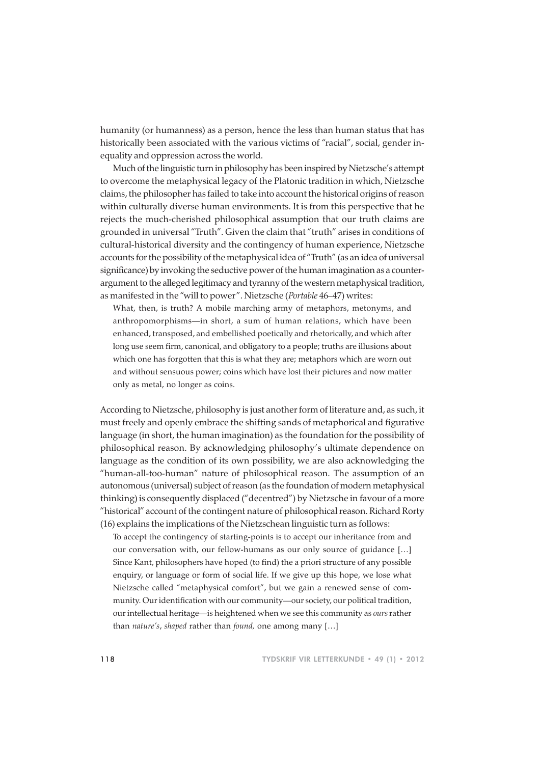humanity (or humanness) as a person, hence the less than human status that has historically been associated with the various victims of "racial", social, gender inequality and oppression across the world.

Much of the linguistic turn in philosophy has been inspired by Nietzsche's attempt to overcome the metaphysical legacy of the Platonic tradition in which, Nietzsche claims, the philosopher has failed to take into account the historical origins of reason within culturally diverse human environments. It is from this perspective that he rejects the much-cherished philosophical assumption that our truth claims are grounded in universal "Truth". Given the claim that "truth" arises in conditions of cultural-historical diversity and the contingency of human experience, Nietzsche accounts for the possibility of the metaphysical idea of "Truth" (as an idea of universal significance) by invoking the seductive power of the human imagination as a counterargument to the alleged legitimacy and tyranny of the western metaphysical tradition, as manifested in the "will to power". Nietzsche (*Portable* 46–47) writes:

What, then, is truth? A mobile marching army of metaphors, metonyms, and anthropomorphisms—in short, a sum of human relations, which have been enhanced, transposed, and embellished poetically and rhetorically, and which after long use seem firm, canonical, and obligatory to a people; truths are illusions about which one has forgotten that this is what they are; metaphors which are worn out and without sensuous power; coins which have lost their pictures and now matter only as metal, no longer as coins.

According to Nietzsche, philosophy is just another form of literature and, as such, it must freely and openly embrace the shifting sands of metaphorical and figurative language (in short, the human imagination) as the foundation for the possibility of philosophical reason. By acknowledging philosophy's ultimate dependence on language as the condition of its own possibility, we are also acknowledging the "human-all-too-human" nature of philosophical reason. The assumption of an autonomous (universal) subject of reason (as the foundation of modern metaphysical thinking) is consequently displaced ("decentred") by Nietzsche in favour of a more "historical" account of the contingent nature of philosophical reason. Richard Rorty (16) explains the implications of the Nietzschean linguistic turn as follows:

To accept the contingency of starting-points is to accept our inheritance from and our conversation with, our fellow-humans as our only source of guidance […] Since Kant, philosophers have hoped (to find) the a priori structure of any possible enquiry, or language or form of social life. If we give up this hope, we lose what Nietzsche called "metaphysical comfort", but we gain a renewed sense of community. Our identification with our community—our society, our political tradition, our intellectual heritage—is heightened when we see this community as *ours* rather than *nature's*, *shaped* rather than *found,* one among many […]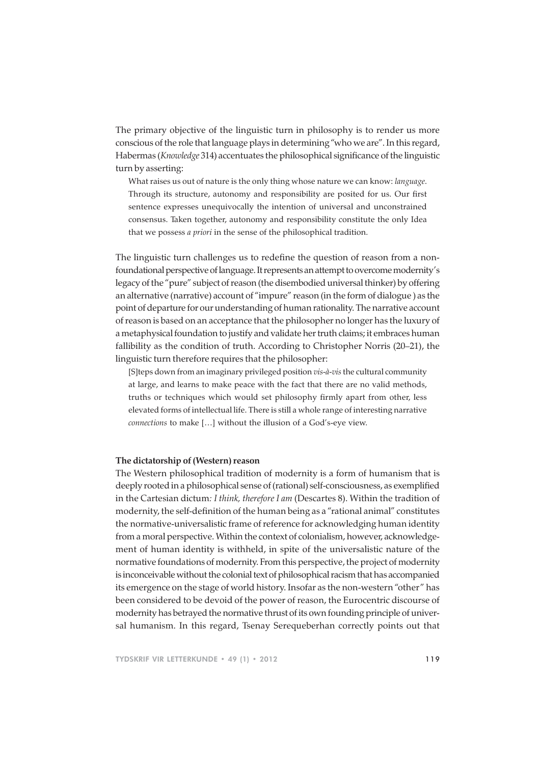The primary objective of the linguistic turn in philosophy is to render us more conscious of the role that language plays in determining "who we are". In this regard, Habermas (*Knowledge* 314) accentuates the philosophical significance of the linguistic turn by asserting:

What raises us out of nature is the only thing whose nature we can know: *language*. Through its structure, autonomy and responsibility are posited for us. Our first sentence expresses unequivocally the intention of universal and unconstrained consensus. Taken together, autonomy and responsibility constitute the only Idea that we possess *a priori* in the sense of the philosophical tradition.

The linguistic turn challenges us to redefine the question of reason from a nonfoundational perspective of language. It represents an attempt to overcome modernity's legacy of the "pure" subject of reason (the disembodied universal thinker) by offering an alternative (narrative) account of "impure" reason (in the form of dialogue ) as the point of departure for our understanding of human rationality. The narrative account of reason is based on an acceptance that the philosopher no longer has the luxury of a metaphysical foundation to justify and validate her truth claims; it embraces human fallibility as the condition of truth. According to Christopher Norris (20–21), the linguistic turn therefore requires that the philosopher:

[S]teps down from an imaginary privileged position *vis-à-vis* the cultural community at large, and learns to make peace with the fact that there are no valid methods, truths or techniques which would set philosophy firmly apart from other, less elevated forms of intellectual life. There is still a whole range of interesting narrative *connections* to make […] without the illusion of a God's-eye view.

## **The dictatorship of (Western) reason**

The Western philosophical tradition of modernity is a form of humanism that is deeply rooted in a philosophical sense of (rational) self-consciousness, as exemplified in the Cartesian dictum*: I think, therefore I am* (Descartes 8). Within the tradition of modernity, the self-definition of the human being as a "rational animal" constitutes the normative-universalistic frame of reference for acknowledging human identity from a moral perspective. Within the context of colonialism, however, acknowledgement of human identity is withheld, in spite of the universalistic nature of the normative foundations of modernity. From this perspective, the project of modernity is inconceivable without the colonial text of philosophical racism that has accompanied its emergence on the stage of world history. Insofar as the non-western "other" has been considered to be devoid of the power of reason, the Eurocentric discourse of modernity has betrayed the normative thrust of its own founding principle of universal humanism. In this regard, Tsenay Serequeberhan correctly points out that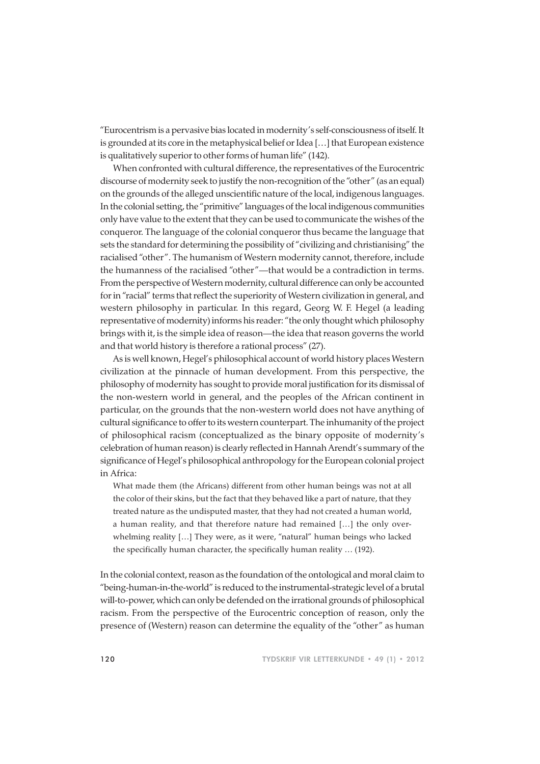"Eurocentrism is a pervasive bias located in modernity's self-consciousness of itself. It is grounded at its core in the metaphysical belief or Idea […] that European existence is qualitatively superior to other forms of human life" (142).

When confronted with cultural difference, the representatives of the Eurocentric discourse of modernity seek to justify the non-recognition of the "other" (as an equal) on the grounds of the alleged unscientific nature of the local, indigenous languages. In the colonial setting, the "primitive" languages of the local indigenous communities only have value to the extent that they can be used to communicate the wishes of the conqueror. The language of the colonial conqueror thus became the language that sets the standard for determining the possibility of "civilizing and christianising" the racialised "other". The humanism of Western modernity cannot, therefore, include the humanness of the racialised "other"—that would be a contradiction in terms. From the perspective of Western modernity, cultural difference can only be accounted for in "racial" terms that reflect the superiority of Western civilization in general, and western philosophy in particular. In this regard, Georg W. F. Hegel (a leading representative of modernity) informs his reader: "the only thought which philosophy brings with it, is the simple idea of reason—the idea that reason governs the world and that world history is therefore a rational process" (27).

As is well known, Hegel's philosophical account of world history places Western civilization at the pinnacle of human development. From this perspective, the philosophy of modernity has sought to provide moral justification for its dismissal of the non-western world in general, and the peoples of the African continent in particular, on the grounds that the non-western world does not have anything of cultural significance to offer to its western counterpart. The inhumanity of the project of philosophical racism (conceptualized as the binary opposite of modernity's celebration of human reason) is clearly reflected in Hannah Arendt's summary of the significance of Hegel's philosophical anthropology for the European colonial project in Africa:

What made them (the Africans) different from other human beings was not at all the color of their skins, but the fact that they behaved like a part of nature, that they treated nature as the undisputed master, that they had not created a human world, a human reality, and that therefore nature had remained […] the only overwhelming reality […] They were, as it were, "natural" human beings who lacked the specifically human character, the specifically human reality … (192).

In the colonial context, reason as the foundation of the ontological and moral claim to "being-human-in-the-world" is reduced to the instrumental-strategic level of a brutal will-to-power, which can only be defended on the irrational grounds of philosophical racism. From the perspective of the Eurocentric conception of reason, only the presence of (Western) reason can determine the equality of the "other" as human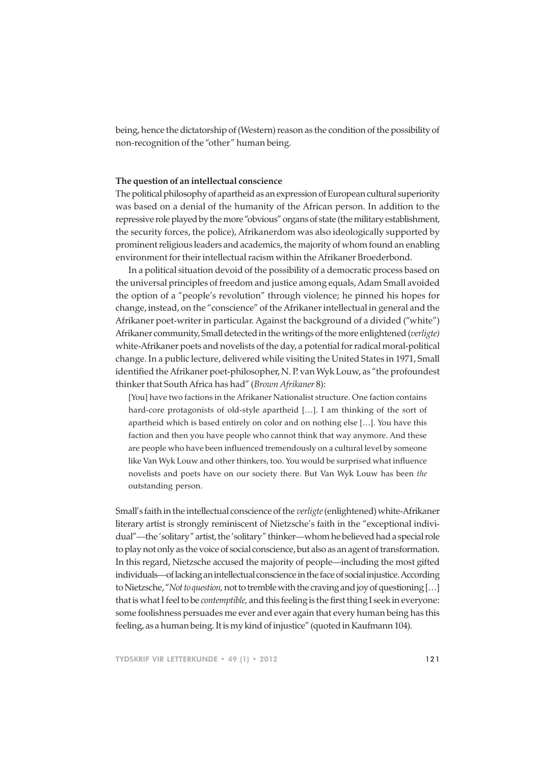being, hence the dictatorship of (Western) reason as the condition of the possibility of non-recognition of the "other" human being.

## **The question of an intellectual conscience**

The political philosophy of apartheid as an expression of European cultural superiority was based on a denial of the humanity of the African person. In addition to the repressive role played by the more "obvious" organs of state (the military establishment, the security forces, the police), Afrikanerdom was also ideologically supported by prominent religious leaders and academics, the majority of whom found an enabling environment for their intellectual racism within the Afrikaner Broederbond.

In a political situation devoid of the possibility of a democratic process based on the universal principles of freedom and justice among equals, Adam Small avoided the option of a "people's revolution" through violence; he pinned his hopes for change, instead, on the "conscience" of the Afrikaner intellectual in general and the Afrikaner poet-writer in particular. Against the background of a divided ("white") Afrikaner community, Small detected in the writings of the more enlightened (*verligte)* white-Afrikaner poets and novelists of the day, a potential for radical moral-political change. In a public lecture, delivered while visiting the United States in 1971, Small identified the Afrikaner poet-philosopher, N. P. van Wyk Louw, as "the profoundest thinker that South Africa has had" (*Brown Afrikaner* 8):

[You] have two factions in the Afrikaner Nationalist structure. One faction contains hard-core protagonists of old-style apartheid […]. I am thinking of the sort of apartheid which is based entirely on color and on nothing else […]. You have this faction and then you have people who cannot think that way anymore. And these are people who have been influenced tremendously on a cultural level by someone like Van Wyk Louw and other thinkers, too. You would be surprised what influence novelists and poets have on our society there. But Van Wyk Louw has been *the* outstanding person.

Small's faith in the intellectual conscience of the *verligte* (enlightened) white-Afrikaner literary artist is strongly reminiscent of Nietzsche's faith in the "exceptional individual"—the 'solitary" artist, the 'solitary" thinker—whom he believed had a special role to play not only as the voice of social conscience, but also as an agent of transformation. In this regard, Nietzsche accused the majority of people—including the most gifted individuals—of lacking an intellectual conscience in the face of social injustice. According to Nietzsche, "*Not to question,* not to tremble with the craving and joy of questioning […] that is what I feel to be *contemptible,* and this feeling is the first thing I seek in everyone: some foolishness persuades me ever and ever again that every human being has this feeling, as a human being. It is my kind of injustice" (quoted in Kaufmann 104).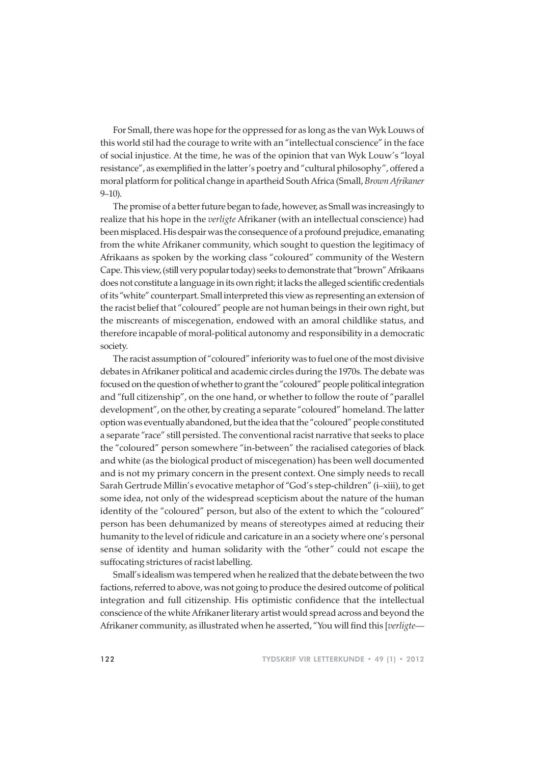For Small, there was hope for the oppressed for as long as the van Wyk Louws of this world stil had the courage to write with an "intellectual conscience" in the face of social injustice. At the time, he was of the opinion that van Wyk Louw's "loyal resistance", as exemplified in the latter's poetry and "cultural philosophy", offered a moral platform for political change in apartheid South Africa (Small, *Brown Afrikaner* 9–10).

The promise of a better future began to fade, however, as Small was increasingly to realize that his hope in the *verligte* Afrikaner (with an intellectual conscience) had been misplaced. His despair was the consequence of a profound prejudice, emanating from the white Afrikaner community, which sought to question the legitimacy of Afrikaans as spoken by the working class "coloured" community of the Western Cape. This view, (still very popular today) seeks to demonstrate that "brown" Afrikaans does not constitute a language in its own right; it lacks the alleged scientific credentials of its "white" counterpart. Small interpreted this view as representing an extension of the racist belief that "coloured" people are not human beings in their own right, but the miscreants of miscegenation, endowed with an amoral childlike status, and therefore incapable of moral-political autonomy and responsibility in a democratic society.

The racist assumption of "coloured" inferiority was to fuel one of the most divisive debates in Afrikaner political and academic circles during the 1970s. The debate was focused on the question of whether to grant the "coloured" people political integration and "full citizenship", on the one hand, or whether to follow the route of "parallel development", on the other, by creating a separate "coloured" homeland. The latter option was eventually abandoned, but the idea that the "coloured" people constituted a separate "race" still persisted. The conventional racist narrative that seeks to place the "coloured" person somewhere "in-between" the racialised categories of black and white (as the biological product of miscegenation) has been well documented and is not my primary concern in the present context. One simply needs to recall Sarah Gertrude Millin's evocative metaphor of "God's step-children" (i–xiii), to get some idea, not only of the widespread scepticism about the nature of the human identity of the "coloured" person, but also of the extent to which the "coloured" person has been dehumanized by means of stereotypes aimed at reducing their humanity to the level of ridicule and caricature in an a society where one's personal sense of identity and human solidarity with the "other" could not escape the suffocating strictures of racist labelling.

Small's idealism was tempered when he realized that the debate between the two factions, referred to above, was not going to produce the desired outcome of political integration and full citizenship. His optimistic confidence that the intellectual conscience of the white Afrikaner literary artist would spread across and beyond the Afrikaner community, as illustrated when he asserted, "You will find this [*verligte*—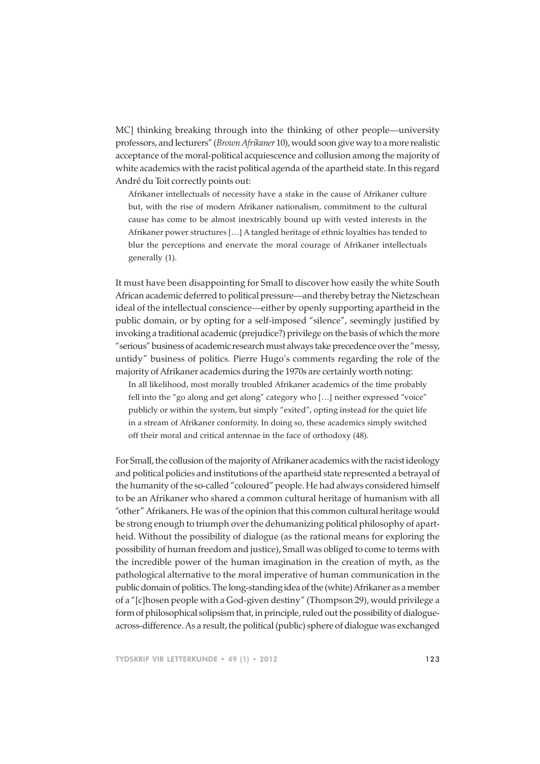MC] thinking breaking through into the thinking of other people—university professors, and lecturers" (*Brown Afrikaner* 10), would soon give way to a more realistic acceptance of the moral-political acquiescence and collusion among the majority of white academics with the racist political agenda of the apartheid state. In this regard André du Toit correctly points out:

Afrikaner intellectuals of necessity have a stake in the cause of Afrikaner culture but, with the rise of modern Afrikaner nationalism, commitment to the cultural cause has come to be almost inextricably bound up with vested interests in the Afrikaner power structures […] A tangled heritage of ethnic loyalties has tended to blur the perceptions and enervate the moral courage of Afrikaner intellectuals generally (1).

It must have been disappointing for Small to discover how easily the white South African academic deferred to political pressure—and thereby betray the Nietzschean ideal of the intellectual conscience—either by openly supporting apartheid in the public domain, or by opting for a self-imposed "silence", seemingly justified by invoking a traditional academic (prejudice?) privilege on the basis of which the more "serious" business of academic research must always take precedence over the "messy, untidy" business of politics. Pierre Hugo's comments regarding the role of the majority of Afrikaner academics during the 1970s are certainly worth noting:

In all likelihood, most morally troubled Afrikaner academics of the time probably fell into the "go along and get along" category who […] neither expressed "voice" publicly or within the system, but simply "exited", opting instead for the quiet life in a stream of Afrikaner conformity. In doing so, these academics simply switched off their moral and critical antennae in the face of orthodoxy (48).

For Small, the collusion of the majority of Afrikaner academics with the racist ideology and political policies and institutions of the apartheid state represented a betrayal of the humanity of the so-called "coloured" people. He had always considered himself to be an Afrikaner who shared a common cultural heritage of humanism with all "other" Afrikaners. He was of the opinion that this common cultural heritage would be strong enough to triumph over the dehumanizing political philosophy of apartheid. Without the possibility of dialogue (as the rational means for exploring the possibility of human freedom and justice), Small was obliged to come to terms with the incredible power of the human imagination in the creation of myth, as the pathological alternative to the moral imperative of human communication in the public domain of politics. The long-standing idea of the (white) Afrikaner as a member of a "[c]hosen people with a God-given destiny" (Thompson 29), would privilege a form of philosophical solipsism that, in principle, ruled out the possibility of dialogueacross-difference. As a result, the political (public) sphere of dialogue was exchanged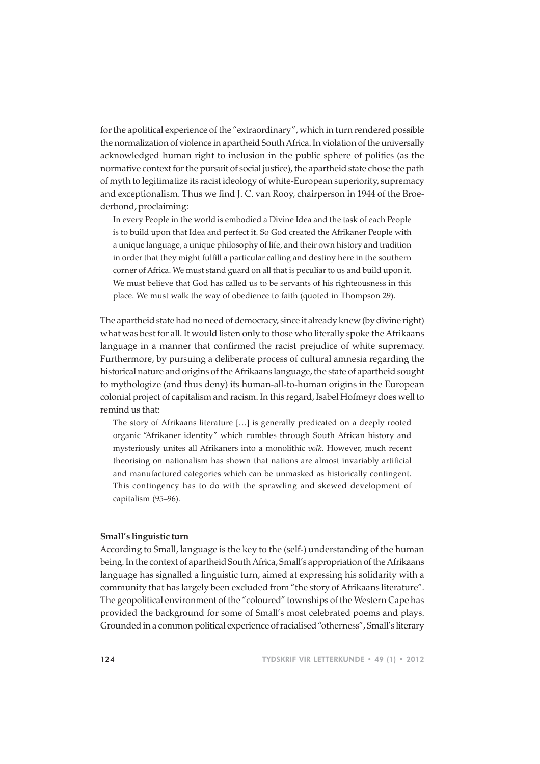for the apolitical experience of the "extraordinary", which in turn rendered possible the normalization of violence in apartheid South Africa. In violation of the universally acknowledged human right to inclusion in the public sphere of politics (as the normative context for the pursuit of social justice), the apartheid state chose the path of myth to legitimatize its racist ideology of white-European superiority, supremacy and exceptionalism. Thus we find J. C. van Rooy, chairperson in 1944 of the Broederbond, proclaiming:

In every People in the world is embodied a Divine Idea and the task of each People is to build upon that Idea and perfect it. So God created the Afrikaner People with a unique language, a unique philosophy of life, and their own history and tradition in order that they might fulfill a particular calling and destiny here in the southern corner of Africa. We must stand guard on all that is peculiar to us and build upon it. We must believe that God has called us to be servants of his righteousness in this place. We must walk the way of obedience to faith (quoted in Thompson 29).

The apartheid state had no need of democracy, since it already knew (by divine right) what was best for all. It would listen only to those who literally spoke the Afrikaans language in a manner that confirmed the racist prejudice of white supremacy. Furthermore, by pursuing a deliberate process of cultural amnesia regarding the historical nature and origins of the Afrikaans language, the state of apartheid sought to mythologize (and thus deny) its human-all-to-human origins in the European colonial project of capitalism and racism. In this regard, Isabel Hofmeyr does well to remind us that:

The story of Afrikaans literature […] is generally predicated on a deeply rooted organic "Afrikaner identity" which rumbles through South African history and mysteriously unites all Afrikaners into a monolithic *volk*. However, much recent theorising on nationalism has shown that nations are almost invariably artificial and manufactured categories which can be unmasked as historically contingent. This contingency has to do with the sprawling and skewed development of capitalism (95–96).

### **Small's linguistic turn**

According to Small, language is the key to the (self-) understanding of the human being. In the context of apartheid South Africa, Small's appropriation of the Afrikaans language has signalled a linguistic turn, aimed at expressing his solidarity with a community that has largely been excluded from "the story of Afrikaans literature". The geopolitical environment of the "coloured" townships of the Western Cape has provided the background for some of Small's most celebrated poems and plays. Grounded in a common political experience of racialised "otherness", Small's literary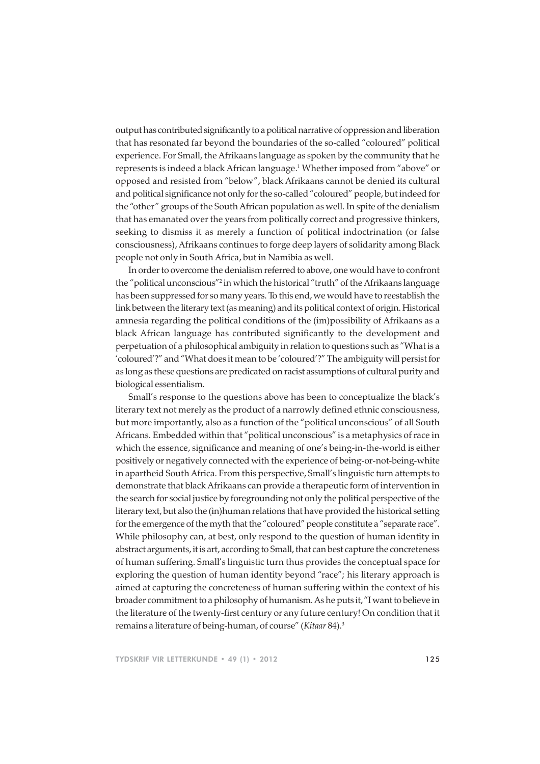output has contributed significantly to a political narrative of oppression and liberation that has resonated far beyond the boundaries of the so-called "coloured" political experience. For Small, the Afrikaans language as spoken by the community that he represents is indeed a black African language.1 Whether imposed from "above" or opposed and resisted from "below", black Afrikaans cannot be denied its cultural and political significance not only for the so-called "coloured" people, but indeed for the "other" groups of the South African population as well. In spite of the denialism that has emanated over the years from politically correct and progressive thinkers, seeking to dismiss it as merely a function of political indoctrination (or false consciousness), Afrikaans continues to forge deep layers of solidarity among Black people not only in South Africa, but in Namibia as well.

In order to overcome the denialism referred to above, one would have to confront the "political unconscious"<sup>2</sup> in which the historical "truth" of the Afrikaans language has been suppressed for so many years. To this end, we would have to reestablish the link between the literary text (as meaning) and its political context of origin. Historical amnesia regarding the political conditions of the (im)possibility of Afrikaans as a black African language has contributed significantly to the development and perpetuation of a philosophical ambiguity in relation to questions such as "What is a 'coloured'?" and "What does it mean to be 'coloured'?" The ambiguity will persist for as long as these questions are predicated on racist assumptions of cultural purity and biological essentialism.

Small's response to the questions above has been to conceptualize the black's literary text not merely as the product of a narrowly defined ethnic consciousness, but more importantly, also as a function of the "political unconscious" of all South Africans. Embedded within that "political unconscious" is a metaphysics of race in which the essence, significance and meaning of one's being-in-the-world is either positively or negatively connected with the experience of being-or-not-being-white in apartheid South Africa. From this perspective, Small's linguistic turn attempts to demonstrate that black Afrikaans can provide a therapeutic form of intervention in the search for social justice by foregrounding not only the political perspective of the literary text, but also the (in)human relations that have provided the historical setting for the emergence of the myth that the "coloured" people constitute a "separate race". While philosophy can, at best, only respond to the question of human identity in abstract arguments, it is art, according to Small, that can best capture the concreteness of human suffering. Small's linguistic turn thus provides the conceptual space for exploring the question of human identity beyond "race"; his literary approach is aimed at capturing the concreteness of human suffering within the context of his broader commitment to a philosophy of humanism. As he puts it, "I want to believe in the literature of the twenty-first century or any future century! On condition that it remains a literature of being-human, of course" (*Kitaar* 84).3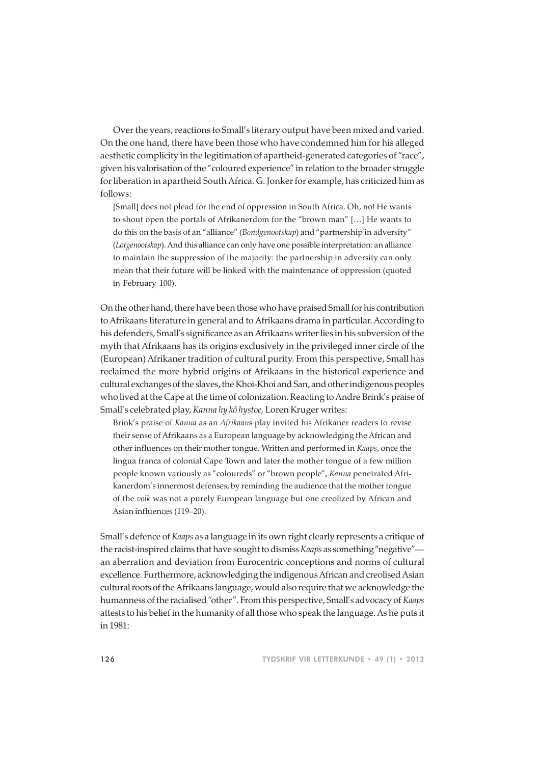Over the years, reactions to Small's literary output have been mixed and varied. On the one hand, there have been those who have condemned him for his alleged aesthetic complicity in the legitimation of apartheid-generated categories of "race", given his valorisation of the "coloured experience" in relation to the broader struggle for liberation in apartheid South Africa. G. Jonker for example, has criticized him as follows:

[Small] does not plead for the end of oppression in South Africa. Oh, no! He wants to shout open the portals of Afrikanerdom for the "brown man" […] He wants to do this on the basis of an "alliance" (*Bondgenootskap*) and "partnership in adversity" (*Lotgenootskap*). And this alliance can only have one possible interpretation: an alliance to maintain the suppression of the majority: the partnership in adversity can only mean that their future will be linked with the maintenance of oppression (quoted in February 100).

On the other hand, there have been those who have praised Small for his contribution to Afrikaans literature in general and to Afrikaans drama in particular. According to his defenders, Small's significance as an Afrikaans writer lies in his subversion of the myth that Afrikaans has its origins exclusively in the privileged inner circle of the (European) Afrikaner tradition of cultural purity. From this perspective, Small has reclaimed the more hybrid origins of Afrikaans in the historical experience and cultural exchanges of the slaves, the Khoi-Khoi and San, and other indigenous peoples who lived at the Cape at the time of colonization. Reacting to Andre Brink's praise of Small's celebrated play, *Kanna hy kô hystoe,* Loren Kruger writes:

Brink's praise of *Kanna* as an *Afrikaan*s play invited his Afrikaner readers to revise their sense of Afrikaans as a European language by acknowledging the African and other influences on their mother tongue. Written and performed in *Kaaps*, once the lingua franca of colonial Cape Town and later the mother tongue of a few million people known variously as "coloureds" or "brown people", *Kanna* penetrated Afrikanerdom's innermost defenses, by reminding the audience that the mother tongue of the *volk* was not a purely European language but one creolized by African and Asian influences (119–20).

Small's defence of *Kaaps* as a language in its own right clearly represents a critique of the racist-inspired claims that have sought to dismiss *Kaaps* as something "negative" an aberration and deviation from Eurocentric conceptions and norms of cultural excellence. Furthermore, acknowledging the indigenous African and creolised Asian cultural roots of the Afrikaans language, would also require that we acknowledge the humanness of the racialised "other". From this perspective, Small's advocacy of *Kaaps* attests to his belief in the humanity of all those who speak the language. As he puts it in 1981: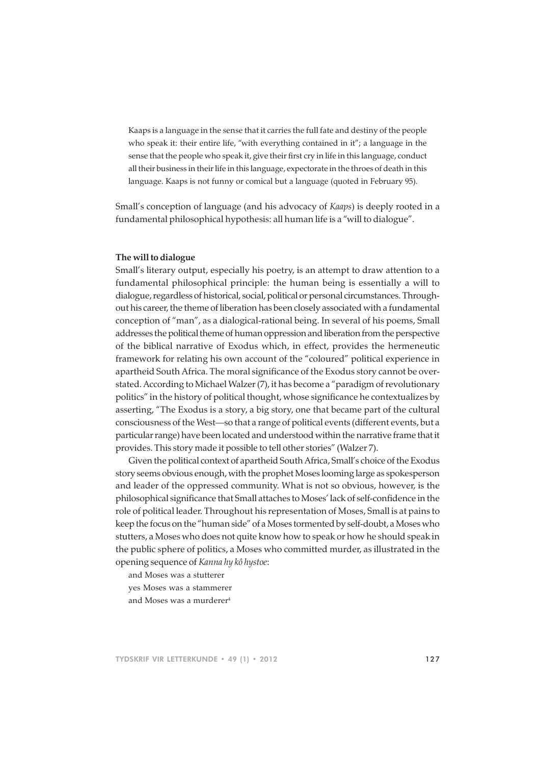Kaaps is a language in the sense that it carries the full fate and destiny of the people who speak it: their entire life, "with everything contained in it"; a language in the sense that the people who speak it, give their first cry in life in this language, conduct all their business in their life in this language, expectorate in the throes of death in this language. Kaaps is not funny or comical but a language (quoted in February 95).

Small's conception of language (and his advocacy of *Kaaps*) is deeply rooted in a fundamental philosophical hypothesis: all human life is a "will to dialogue".

## **The will to dialogue**

Small's literary output, especially his poetry, is an attempt to draw attention to a fundamental philosophical principle: the human being is essentially a will to dialogue, regardless of historical, social, political or personal circumstances. Throughout his career, the theme of liberation has been closely associated with a fundamental conception of "man", as a dialogical-rational being. In several of his poems, Small addresses the political theme of human oppression and liberation from the perspective of the biblical narrative of Exodus which, in effect, provides the hermeneutic framework for relating his own account of the "coloured" political experience in apartheid South Africa. The moral significance of the Exodus story cannot be overstated. According to Michael Walzer (7), it has become a "paradigm of revolutionary politics" in the history of political thought, whose significance he contextualizes by asserting, "The Exodus is a story, a big story, one that became part of the cultural consciousness of the West—so that a range of political events (different events, but a particular range) have been located and understood within the narrative frame that it provides. This story made it possible to tell other stories" (Walzer 7).

Given the political context of apartheid South Africa, Small's choice of the Exodus story seems obvious enough, with the prophet Moses looming large as spokesperson and leader of the oppressed community. What is not so obvious, however, is the philosophical significance that Small attaches to Moses' lack of self-confidence in the role of political leader. Throughout his representation of Moses, Small is at pains to keep the focus on the "human side" of a Moses tormented by self-doubt, a Moses who stutters, a Moses who does not quite know how to speak or how he should speak in the public sphere of politics, a Moses who committed murder, as illustrated in the opening sequence of *Kanna hy kô hystoe*:

and Moses was a stutterer

yes Moses was a stammerer

and Moses was a murderer<sup>4</sup>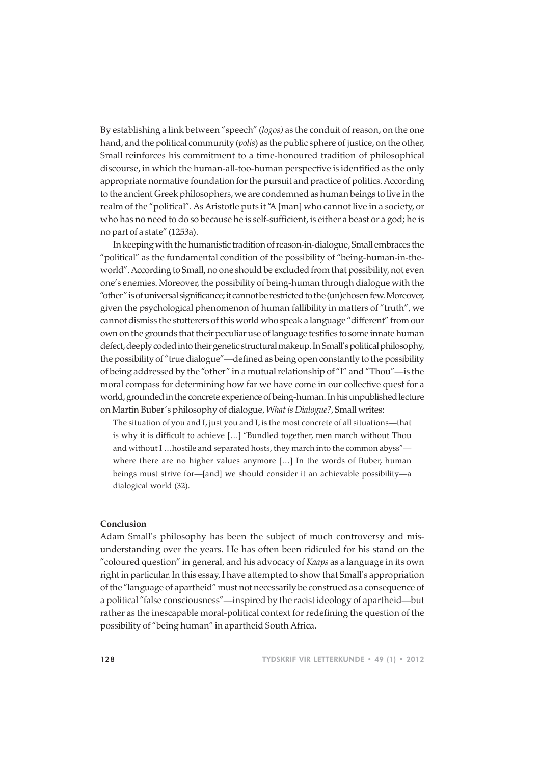By establishing a link between "speech" (*logos)* as the conduit of reason, on the one hand, and the political community (*polis*) as the public sphere of justice, on the other, Small reinforces his commitment to a time-honoured tradition of philosophical discourse, in which the human-all-too-human perspective is identified as the only appropriate normative foundation for the pursuit and practice of politics. According to the ancient Greek philosophers, we are condemned as human beings to live in the realm of the "political". As Aristotle puts it "A [man] who cannot live in a society, or who has no need to do so because he is self-sufficient, is either a beast or a god; he is no part of a state" (1253a).

In keeping with the humanistic tradition of reason-in-dialogue, Small embraces the "political" as the fundamental condition of the possibility of "being-human-in-theworld". According to Small, no one should be excluded from that possibility, not even one's enemies. Moreover, the possibility of being-human through dialogue with the "other" is of universal significance; it cannot be restricted to the (un)chosen few. Moreover, given the psychological phenomenon of human fallibility in matters of "truth", we cannot dismiss the stutterers of this world who speak a language "different" from our own on the grounds that their peculiar use of language testifies to some innate human defect, deeply coded into their genetic structural makeup. In Small's political philosophy, the possibility of "true dialogue"—defined as being open constantly to the possibility of being addressed by the "other" in a mutual relationship of "I" and "Thou"—is the moral compass for determining how far we have come in our collective quest for a world, grounded in the concrete experience of being-human. In his unpublished lecture on Martin Buber's philosophy of dialogue, *What is Dialogue?*, Small writes:

The situation of you and I, just you and I, is the most concrete of all situations—that is why it is difficult to achieve […] "Bundled together, men march without Thou and without I …hostile and separated hosts, they march into the common abyss" where there are no higher values anymore […] In the words of Buber, human beings must strive for—[and] we should consider it an achievable possibility—a dialogical world (32).

### **Conclusion**

Adam Small's philosophy has been the subject of much controversy and misunderstanding over the years. He has often been ridiculed for his stand on the "coloured question" in general, and his advocacy of *Kaaps* as a language in its own right in particular. In this essay, I have attempted to show that Small's appropriation of the "language of apartheid" must not necessarily be construed as a consequence of a political "false consciousness"—inspired by the racist ideology of apartheid—but rather as the inescapable moral-political context for redefining the question of the possibility of "being human" in apartheid South Africa.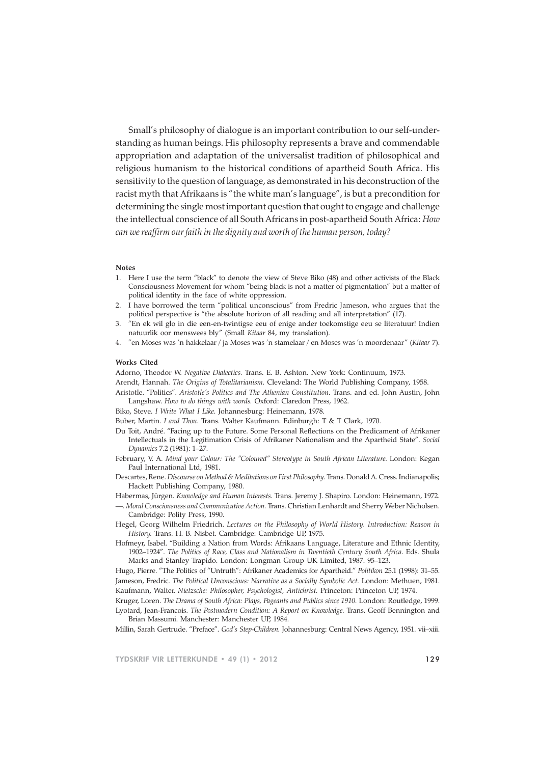Small's philosophy of dialogue is an important contribution to our self-understanding as human beings. His philosophy represents a brave and commendable appropriation and adaptation of the universalist tradition of philosophical and religious humanism to the historical conditions of apartheid South Africa. His sensitivity to the question of language, as demonstrated in his deconstruction of the racist myth that Afrikaans is "the white man's language", is but a precondition for determining the single most important question that ought to engage and challenge the intellectual conscience of all South Africans in post-apartheid South Africa: *How can we reaffirm our faith in the dignity and worth of the human person, today?*

#### **Notes**

- 1. Here I use the term "black" to denote the view of Steve Biko (48) and other activists of the Black Consciousness Movement for whom "being black is not a matter of pigmentation" but a matter of political identity in the face of white oppression.
- 2. I have borrowed the term "political unconscious" from Fredric Jameson, who argues that the political perspective is "the absolute horizon of all reading and all interpretation" (17).
- 3. "En ek wil glo in die een-en-twintigse eeu of enige ander toekomstige eeu se literatuur! Indien natuurlik oor menswees bly" (Small *Kitaar* 84, my translation).
- 4. "en Moses was 'n hakkelaar / ja Moses was 'n stamelaar / en Moses was 'n moordenaar" (*Kitaar* 7).

#### **Works Cited**

Adorno, Theodor W. *Negative Dialectics.* Trans. E. B. Ashton. New York: Continuum, 1973.

- Arendt, Hannah. *The Origins of Totalitarianism*. Cleveland: The World Publishing Company, 1958.
- Aristotle. "Politics". *Aristotle's Politics and The Athenian Constitution*. Trans. and ed. John Austin, John Langshaw. *How to do things with words.* Oxford: Claredon Press, 1962.
- Biko, Steve. *I Write What I Like*. Johannesburg: Heinemann, 1978.
- Buber, Martin. *I and Thou*. Trans. Walter Kaufmann. Edinburgh: T & T Clark, 1970.
- Du Toit, André. "Facing up to the Future. Some Personal Reflections on the Predicament of Afrikaner Intellectuals in the Legitimation Crisis of Afrikaner Nationalism and the Apartheid State". *Social Dynamics* 7.2 (1981): 1–27.
- February, V. A. *Mind your Colour: The "Coloured" Stereotype in South African Literature*. London: Kegan Paul International Ltd, 1981.
- Descartes, Rene. *Discourse on Method & Meditations on First Philosophy*. Trans. Donald A. Cress. Indianapolis; Hackett Publishing Company, 1980.
- Habermas, Jürgen. *Knowledge and Human Interests*. Trans. Jeremy J. Shapiro. London: Heinemann, 1972.
- —. *Moral Consciousness and Communicative Action.* Trans. Christian Lenhardt and Sherry Weber Nicholsen. Cambridge: Polity Press, 1990.
- Hegel, Georg Wilhelm Friedrich. *Lectures on the Philosophy of World History. Introduction: Reason in History.* Trans. H. B. Nisbet. Cambridge: Cambridge UP, 1975.
- Hofmeyr, Isabel. "Building a Nation from Words: Afrikaans Language, Literature and Ethnic Identity, 1902–1924". *The Politics of Race, Class and Nationalism in Twentieth Century South Africa*. Eds. Shula Marks and Stanley Trapido. London: Longman Group UK Limited, 1987. 95–123.

Hugo, Pierre. "The Politics of "Untruth": Afrikaner Academics for Apartheid." *Politikon* 25.1 (1998): 31–55. Jameson, Fredric. *The Political Unconscious: Narrative as a Socially Symbolic Act.* London: Methuen, 1981. Kaufmann, Walter. *Nietzsche: Philosopher, Psychologist, Antichrist.* Princeton: Princeton UP, 1974.

Kruger, Loren. *The Drama of South Africa: Plays, Pageants and Publics since 1910.* London: Routledge, 1999. Lyotard, Jean-Francois. *The Postmodern Condition: A Report on Knowledge.* Trans. Geoff Bennington and Brian Massumi. Manchester: Manchester UP, 1984.

Millin, Sarah Gertrude. "Preface". *God's Step-Children.* Johannesburg: Central News Agency, 1951. vii–xiii.